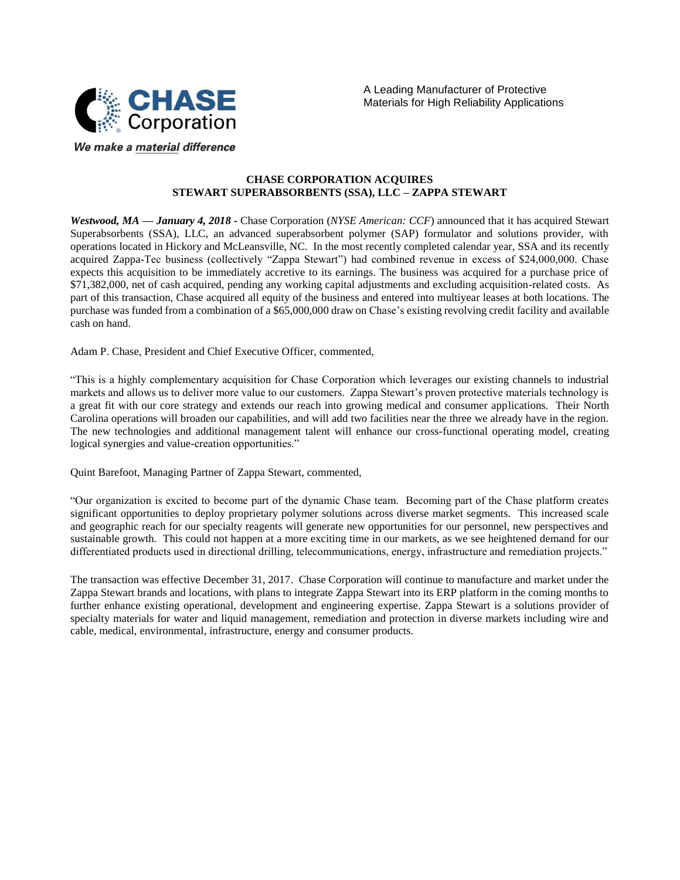

We make a material difference

## **CHASE CORPORATION ACQUIRES STEWART SUPERABSORBENTS (SSA), LLC – ZAPPA STEWART**

*Westwood, MA — January 4, 2018 -* [Chase Corporation](http://www.chasecorp.com/) (*NYSE American: CCF*) announced that it has acquired Stewart Superabsorbents (SSA), LLC, an advanced superabsorbent polymer (SAP) formulator and solutions provider, with operations located in Hickory and McLeansville, NC. In the most recently completed calendar year, SSA and its recently acquired Zappa-Tec business (collectively "Zappa Stewart") had combined revenue in excess of \$24,000,000. Chase expects this acquisition to be immediately accretive to its earnings. The business was acquired for a purchase price of \$71,382,000, net of cash acquired, pending any working capital adjustments and excluding acquisition-related costs. As part of this transaction, Chase acquired all equity of the business and entered into multiyear leases at both locations. The purchase was funded from a combination of a \$65,000,000 draw on Chase's existing revolving credit facility and available cash on hand.

Adam P. Chase, President and Chief Executive Officer, commented,

"This is a highly complementary acquisition for Chase Corporation which leverages our existing channels to industrial markets and allows us to deliver more value to our customers. Zappa Stewart's proven protective materials technology is a great fit with our core strategy and extends our reach into growing medical and consumer applications. Their North Carolina operations will broaden our capabilities, and will add two facilities near the three we already have in the region. The new technologies and additional management talent will enhance our cross-functional operating model, creating logical synergies and value-creation opportunities."

Quint Barefoot, Managing Partner of Zappa Stewart, commented,

"Our organization is excited to become part of the dynamic Chase team. Becoming part of the Chase platform creates significant opportunities to deploy proprietary polymer solutions across diverse market segments. This increased scale and geographic reach for our specialty reagents will generate new opportunities for our personnel, new perspectives and sustainable growth. This could not happen at a more exciting time in our markets, as we see heightened demand for our differentiated products used in directional drilling, telecommunications, energy, infrastructure and remediation projects."

The transaction was effective December 31, 2017. Chase Corporation will continue to manufacture and market under the Zappa Stewart brands and locations, with plans to integrate Zappa Stewart into its ERP platform in the coming months to further enhance existing operational, development and engineering expertise. Zappa Stewart is a solutions provider of specialty materials for water and liquid management, remediation and protection in diverse markets including wire and cable, medical, environmental, infrastructure, energy and consumer products.